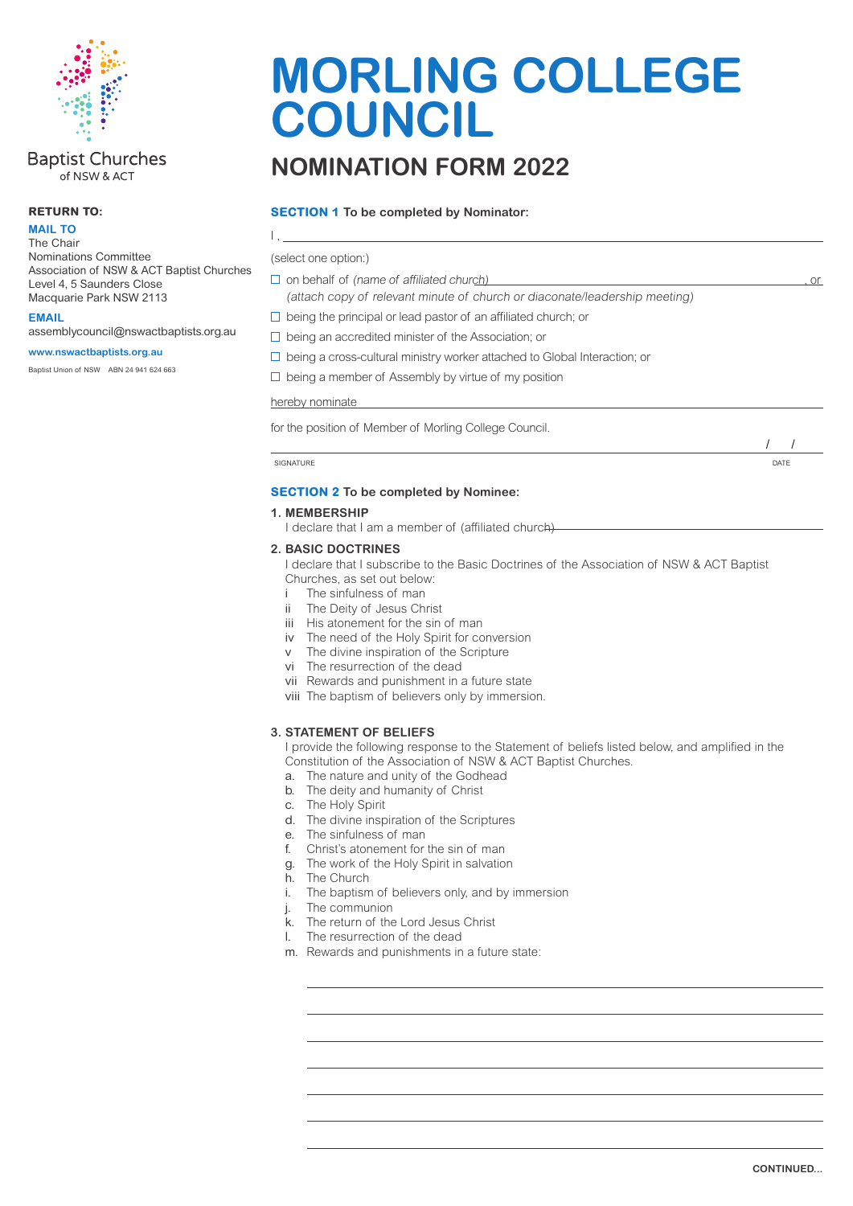

#### **Baptist Churches** of NSW & ACT

#### **RETURN TO:**

**MAIL TO** The Chair Nominations Committee Association of NSW & ACT Baptist Churches Level 4, 5 Saunders Close

Macquarie Park NSW 2113 **EMAIL**

assemblycouncil@nswactbaptists.org.au

#### **www.nswactbaptists.org.au**

Baptist Union of NSW ABN 24 941 624 663

# **MORLING COLLEGE COUNCIL**

## **NOMINATION FORM 2022**

#### **SECTION 1 To be completed by Nominator:**

 $\Box$  on behalf of (name of affiliated church) , or (attach copy of relevant minute of church or diaconate/leadership meeting)  $\Box$  being the principal or lead pastor of an affiliated church; or  $\Box$  being an accredited minister of the Association; or  $\Box$  being a cross-cultural ministry worker attached to Global Interaction; or  $\Box$  being a member of Assembly by virtue of my position hereby nominate for the position of Member of Morling College Council. SIGNATURE DATE DATE ON A SERVER SIGNATURE OF THE SERVER SIGNATURE OF THE SERVER SIGNATURE OF THE SERVER SIGNATURE OF THE SERVER SIGNATURE OF THE SERVER SIGNATURE OF THE SERVER SIGNATURE OF THE SERVER SIGNATURE OF THE SERVE **SECTION 2 To be completed by Nominee:**  I , (select one option:) / /

#### **1. MEMBERSHIP**

I declare that I am a member of (affiliated church)

#### **2. BASIC DOCTRINES**

I declare that I subscribe to the Basic Doctrines of the Association of NSW & ACT Baptist Churches, as set out below:

The sinfulness of man

- ii The Deity of Jesus Christ
- iii His atonement for the sin of man
- iv The need of the Holy Spirit for conversion
- v The divine inspiration of the Scripture
- vi The resurrection of the dead
- vii Rewards and punishment in a future state
- viii The baptism of believers only by immersion.

#### **3. STATEMENT OF BELIEFS**

I provide the following response to the Statement of beliefs listed below, and amplified in the Constitution of the Association of NSW & ACT Baptist Churches.

- a. The nature and unity of the Godhead
- b. The deity and humanity of Christ
- c. The Holy Spirit
- d. The divine inspiration of the Scriptures
- e. The sinfulness of man
- f. Christ's atonement for the sin of man
- g. The work of the Holy Spirit in salvation
- h. The Church
- i. The baptism of believers only, and by immersion
- j. The communion
- k. The return of the Lord Jesus Christ
- l. The resurrection of the dead
- m. Rewards and punishments in a future state: